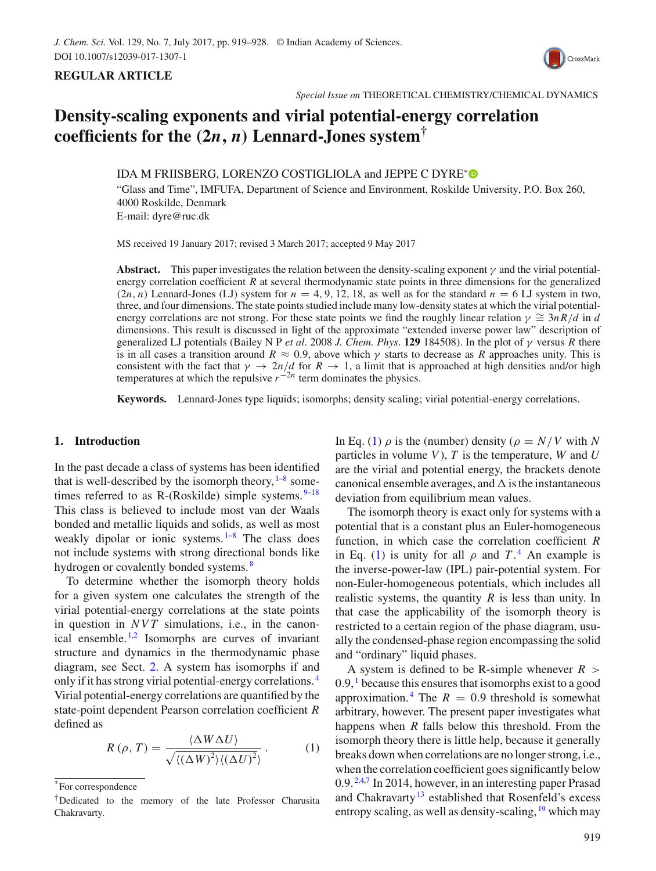



# **Density-scaling exponents and virial potential-energy correlation** coefficients for the  $(2n, n)$  **Lennard-Jones system**<sup>†</sup>

IDA M FRIISBERG, LORENZO COSTIGLIOLA and JEPPE C DYRE<sup>∗</sup>

"Glass and Time", IMFUFA, Department of Science and Environment, Roskilde University, P.O. Box 260, 4000 Roskilde, Denmark E-mail: dyre@ruc.dk

MS received 19 January 2017; revised 3 March 2017; accepted 9 May 2017

**Abstract.** This paper investigates the relation between the density-scaling exponent  $\gamma$  and the virial potentialenergy correlation coefficient  $\overline{R}$  at several thermodynamic state points in three dimensions for the generalized  $(2n, n)$  Lennard-Jones (LJ) system for  $n = 4, 9, 12, 18$ , as well as for the standard  $n = 6$  LJ system in two, three, and four dimensions. The state points studied include many low-density states at which the virial potentialenergy correlations are not strong. For these state points we find the roughly linear relation  $\gamma \cong 3nR/d$  in *d* dimensions. This result is discussed in light of the approximate "extended inverse power law" description of generalized LJ potentials (Bailey N P *et al*. 2008 *J. Chem. Phys*. **129** 184508). In the plot of γ versus *R* there is in all cases a transition around  $R \approx 0.9$ , above which  $\gamma$  starts to decrease as *R* approaches unity. This is consistent with the fact that  $\gamma \to 2n/d$  for  $R \to 1$ , a limit that is approached at high densities and/or high temperatures at which the repulsive  $r^{-2n}$  term dominates the physics.

**Keywords.** Lennard-Jones type liquids; isomorphs; density scaling; virial potential-energy correlations.

## **1. Introduction**

In the past decade a class of systems has been identified that is well-described by the isomorph theory,  $1-8$  sometimes referred to as R-(Roskilde) simple systems.  $9-18$ This class is believed to include most van der Waals bonded and metallic liquids and solids, as well as most weakly dipolar or ionic systems.  $1-8$  The class does not include systems with strong directional bonds like hydrogen or covalently bonded systems.<sup>8</sup>

To determine whether the isomorph theory holds for a given system one calculates the strength of the virial potential-energy correlations at the state points in question in *NVT* simulations, i.e., in the canonical ensemble.<sup>1,2</sup> Isomorphs are curves of invariant structure and dynamics in the thermodynamic phase diagram, see Sect. 2. A system has isomorphs if and only if it has strong virial potential-energy correlations. <sup>4</sup> Virial potential-energy correlations are quantified by the state-point dependent Pearson correlation coefficient *R* defined as

$$
R(\rho, T) = \frac{\langle \Delta W \Delta U \rangle}{\sqrt{\langle (\Delta W)^2 \rangle \langle (\Delta U)^2 \rangle}}.
$$
 (1)

In Eq. (1)  $\rho$  is the (number) density ( $\rho = N/V$  with N particles in volume *V*), *T* is the temperature, *W* and *U* are the virial and potential energy, the brackets denote canonical ensemble averages, and  $\Delta$  is the instantaneous deviation from equilibrium mean values.

The isomorph theory is exact only for systems with a potential that is a constant plus an Euler-homogeneous function, in which case the correlation coefficient *R* in Eq. (1) is unity for all  $\rho$  and  $T^4$ . An example is the inverse-power-law (IPL) pair-potential system. For non-Euler-homogeneous potentials, which includes all realistic systems, the quantity *R* is less than unity. In that case the applicability of the isomorph theory is restricted to a certain region of the phase diagram, usually the condensed-phase region encompassing the solid and "ordinary" liquid phases.

A system is defined to be R-simple whenever  $R >$  $0.9$ ,  $1$  because this ensures that isomorphs exist to a good approximation.<sup>4</sup> The  $R = 0.9$  threshold is somewhat arbitrary, however. The present paper investigates what happens when *R* falls below this threshold. From the isomorph theory there is little help, because it generally breaks down when correlations are no longer strong, i.e., when the correlation coefficient goes significantly below 0.9. 2,4,7 In 2014, however, in an interesting paper Prasad and Chakravarty<sup>13</sup> established that Rosenfeld's excess entropy scaling, as well as density-scaling,  $\frac{19}{2}$  which may

<sup>\*</sup>For correspondence

<sup>†</sup>Dedicated to the memory of the late Professor Charusita Chakravarty.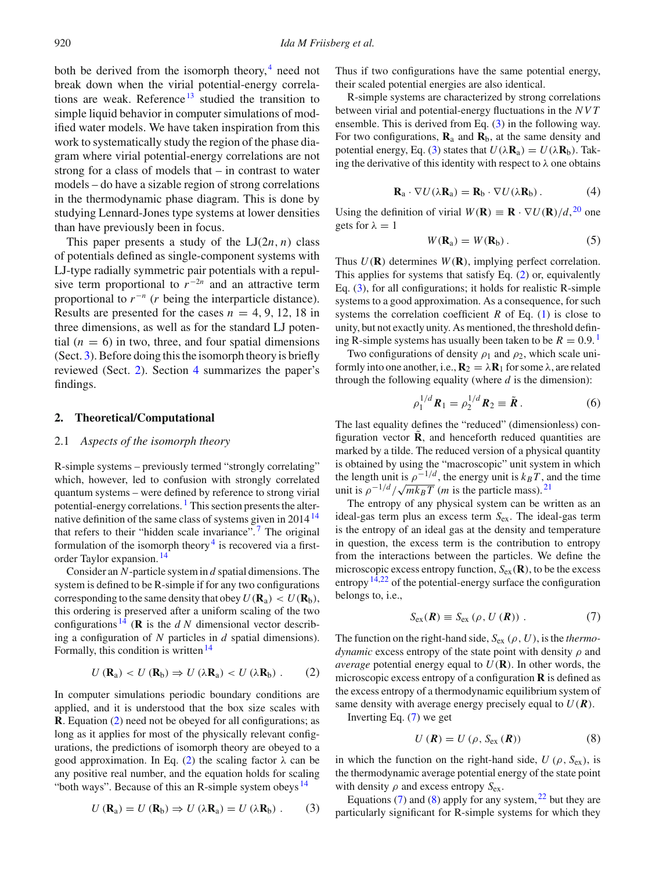both be derived from the isomorph theory, $4 \text{ need not}$ break down when the virial potential-energy correlations are weak. Reference<sup>13</sup> studied the transition to simple liquid behavior in computer simulations of modified water models. We have taken inspiration from this work to systematically study the region of the phase diagram where virial potential-energy correlations are not strong for a class of models that – in contrast to water models – do have a sizable region of strong correlations in the thermodynamic phase diagram. This is done by studying Lennard-Jones type systems at lower densities than have previously been in focus.

This paper presents a study of the  $LI(2n, n)$  class of potentials defined as single-component systems with LJ-type radially symmetric pair potentials with a repulsive term proportional to  $r^{-2n}$  and an attractive term proportional to  $r^{-n}$  (*r* being the interparticle distance). Results are presented for the cases  $n = 4, 9, 12, 18$  in three dimensions, as well as for the standard LJ potential  $(n = 6)$  in two, three, and four spatial dimensions (Sect. 3). Before doing this the isomorph theory is briefly reviewed (Sect. 2). Section 4 summarizes the paper's findings.

## **2. Theoretical/Computational**

## 2.1 *Aspects of the isomorph theory*

R-simple systems – previously termed "strongly correlating" which, however, led to confusion with strongly correlated quantum systems – were defined by reference to strong virial potential-energy correlations.  $<sup>1</sup>$  This section presents the alter-</sup> native definition of the same class of systems given in  $2014<sup>14</sup>$ that refers to their "hidden scale invariance".<sup>7</sup> The original formulation of the isomorph theory<sup>4</sup> is recovered via a firstorder Taylor expansion. <sup>14</sup>

Consider an *N*-particle system in *d* spatial dimensions. The system is defined to be R-simple if for any two configurations corresponding to the same density that obey  $U(\mathbf{R}_a) < U(\mathbf{R}_b)$ , this ordering is preserved after a uniform scaling of the two configurations  $^{14}$  (**R** is the *d N* dimensional vector describing a configuration of *N* particles in *d* spatial dimensions). Formally, this condition is written<sup>14</sup>

$$
U(\mathbf{R}_{\mathrm{a}}) < U(\mathbf{R}_{\mathrm{b}}) \Rightarrow U(\lambda \mathbf{R}_{\mathrm{a}}) < U(\lambda \mathbf{R}_{\mathrm{b}}) \ . \tag{2}
$$

In computer simulations periodic boundary conditions are applied, and it is understood that the box size scales with **R**. Equation (2) need not be obeyed for all configurations; as long as it applies for most of the physically relevant configurations, the predictions of isomorph theory are obeyed to a good approximation. In Eq. (2) the scaling factor  $\lambda$  can be any positive real number, and the equation holds for scaling "both ways". Because of this an R-simple system obeys  $^{14}$ 

$$
U(\mathbf{R}_{a}) = U(\mathbf{R}_{b}) \Rightarrow U(\lambda \mathbf{R}_{a}) = U(\lambda \mathbf{R}_{b}). \qquad (3)
$$

Thus if two configurations have the same potential energy, their scaled potential energies are also identical.

R-simple systems are characterized by strong correlations between virial and potential-energy fluctuations in the *NVT* ensemble. This is derived from Eq. (3) in the following way. For two configurations,  $\mathbf{R}_a$  and  $\mathbf{R}_b$ , at the same density and potential energy, Eq. (3) states that  $U(\lambda \mathbf{R}_a) = U(\lambda \mathbf{R}_b)$ . Taking the derivative of this identity with respect to  $\lambda$  one obtains

$$
\mathbf{R}_a \cdot \nabla U(\lambda \mathbf{R}_a) = \mathbf{R}_b \cdot \nabla U(\lambda \mathbf{R}_b).
$$
 (4)

Using the definition of virial  $W(\mathbf{R}) \equiv \mathbf{R} \cdot \nabla U(\mathbf{R})/d$ , <sup>20</sup> one gets for  $\lambda = 1$ 

$$
W(\mathbf{R}_a) = W(\mathbf{R}_b). \tag{5}
$$

Thus  $U(\mathbf{R})$  determines  $W(\mathbf{R})$ , implying perfect correlation. This applies for systems that satisfy Eq. (2) or, equivalently Eq. (3), for all configurations; it holds for realistic R-simple systems to a good approximation. As a consequence, for such systems the correlation coefficient  $R$  of Eq. (1) is close to unity, but not exactly unity. As mentioned, the threshold defining R-simple systems has usually been taken to be  $R = 0.9$ .<sup>1</sup>

Two configurations of density  $\rho_1$  and  $\rho_2$ , which scale uniformly into one another, i.e.,  $\mathbf{R}_2 = \lambda \mathbf{R}_1$  for some  $\lambda$ , are related through the following equality (where *d* is the dimension):

$$
\rho_1^{1/d} R_1 = \rho_2^{1/d} R_2 \equiv \tilde{R} \,. \tag{6}
$$

The last equality defines the "reduced" (dimensionless) configuration vector  $\mathbf{\tilde{R}}$ , and henceforth reduced quantities are marked by a tilde. The reduced version of a physical quantity is obtained by using the "macroscopic" unit system in which the length unit is  $\rho^{-1/d}$ , the energy unit is  $k_B T$ , and the time unit is  $\rho^{-1/d}/\sqrt{mk_BT}$  (*m* is the particle mass).<sup>21</sup>

The entropy of any physical system can be written as an ideal-gas term plus an excess term *S*ex. The ideal-gas term is the entropy of an ideal gas at the density and temperature in question, the excess term is the contribution to entropy from the interactions between the particles. We define the microscopic excess entropy function, *S*ex(**R**), to be the excess entropy  $14,22$  of the potential-energy surface the configuration belongs to, i.e.,

$$
S_{\text{ex}}(\boldsymbol{R}) \equiv S_{\text{ex}}\left(\rho, U\left(\boldsymbol{R}\right)\right). \tag{7}
$$

The function on the right-hand side,  $S_{\text{ex}}(\rho, U)$ , is the *thermodynamic* excess entropy of the state point with density  $\rho$  and *average* potential energy equal to  $U(\mathbf{R})$ . In other words, the microscopic excess entropy of a configuration **R** is defined as the excess entropy of a thermodynamic equilibrium system of same density with average energy precisely equal to  $U(\mathbf{R})$ .

Inverting Eq. (7) we get

$$
U\left(\boldsymbol{R}\right) = U\left(\rho, S_{\text{ex}}\left(\boldsymbol{R}\right)\right) \tag{8}
$$

in which the function on the right-hand side,  $U(\rho, S_{ex})$ , is the thermodynamic average potential energy of the state point with density  $\rho$  and excess entropy  $S_{ex}$ .

Equations (7) and (8) apply for any system,  $22$  but they are particularly significant for R-simple systems for which they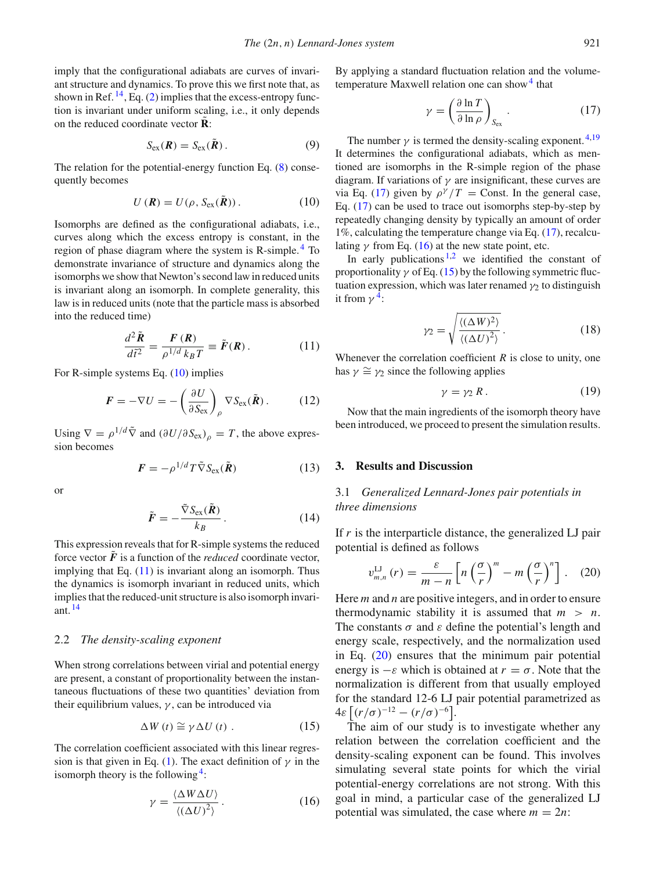imply that the configurational adiabats are curves of invariant structure and dynamics. To prove this we first note that, as shown in Ref.  $^{14}$ , Eq. (2) implies that the excess-entropy function is invariant under uniform scaling, i.e., it only depends on the reduced coordinate vector  $\tilde{\mathbf{R}}$ :

$$
S_{\text{ex}}(\boldsymbol{R}) = S_{\text{ex}}(\tilde{\boldsymbol{R}}).
$$
 (9)

The relation for the potential-energy function Eq. (8) consequently becomes

$$
U(\mathbf{R}) = U(\rho, S_{\text{ex}}(\tilde{\mathbf{R}})).
$$
 (10)

Isomorphs are defined as the configurational adiabats, i.e., curves along which the excess entropy is constant, in the region of phase diagram where the system is R-simple. <sup>4</sup> To demonstrate invariance of structure and dynamics along the isomorphs we show that Newton's second law in reduced units is invariant along an isomorph. In complete generality, this law is in reduced units (note that the particle mass is absorbed into the reduced time)

$$
\frac{d^2\tilde{R}}{d\tilde{t}^2} = \frac{F(R)}{\rho^{1/d}k_BT} \equiv \tilde{F}(R). \qquad (11)
$$

For R-simple systems Eq. (10) implies

$$
\boldsymbol{F} = -\nabla U = -\left(\frac{\partial U}{\partial S_{\text{ex}}}\right)_{\rho} \nabla S_{\text{ex}}(\tilde{\boldsymbol{R}}). \quad (12)
$$

Using  $\nabla = \rho^{1/d} \tilde{\nabla}$  and  $(\partial U/\partial S_{\text{ex}})_\rho = T$ , the above expression becomes

$$
F = -\rho^{1/d} T \tilde{\nabla} S_{\text{ex}}(\tilde{R}) \tag{13}
$$

or

$$
\tilde{F} = -\frac{\tilde{\nabla}S_{\text{ex}}(\tilde{R})}{k_B} \,. \tag{14}
$$

This expression reveals that for R-simple systems the reduced force vector  $\vec{F}$  is a function of the *reduced* coordinate vector, implying that Eq.  $(11)$  is invariant along an isomorph. Thus the dynamics is isomorph invariant in reduced units, which implies that the reduced-unit structure is also isomorph invariant. <sup>14</sup>

## 2.2 *The density-scaling exponent*

When strong correlations between virial and potential energy are present, a constant of proportionality between the instantaneous fluctuations of these two quantities' deviation from their equilibrium values,  $\gamma$ , can be introduced via

$$
\Delta W(t) \cong \gamma \Delta U(t) . \tag{15}
$$

The correlation coefficient associated with this linear regression is that given in Eq. (1). The exact definition of  $\gamma$  in the isomorph theory is the following<sup>4</sup>:

$$
\gamma = \frac{\langle \Delta W \Delta U \rangle}{\langle (\Delta U)^2 \rangle} \,. \tag{16}
$$

By applying a standard fluctuation relation and the volumetemperature Maxwell relation one can show  $4$  that

$$
\gamma = \left(\frac{\partial \ln T}{\partial \ln \rho}\right)_{S_{\text{ex}}}.\tag{17}
$$

The number  $\gamma$  is termed the density-scaling exponent. <sup>4,19</sup> It determines the configurational adiabats, which as mentioned are isomorphs in the R-simple region of the phase diagram. If variations of  $\gamma$  are insignificant, these curves are via Eq. (17) given by  $\rho^{\gamma}/T =$  Const. In the general case, Eq. (17) can be used to trace out isomorphs step-by-step by repeatedly changing density by typically an amount of order 1%, calculating the temperature change via Eq. (17), recalculating  $\gamma$  from Eq. (16) at the new state point, etc.

In early publications  $1,2$  we identified the constant of proportionality  $\gamma$  of Eq. (15) by the following symmetric fluctuation expression, which was later renamed  $\gamma_2$  to distinguish it from  $\gamma^4$ :

$$
\gamma_2 = \sqrt{\frac{\langle (\Delta W)^2 \rangle}{\langle (\Delta U)^2 \rangle}}.
$$
\n(18)

Whenever the correlation coefficient *R* is close to unity, one has  $\gamma \cong \gamma_2$  since the following applies

$$
\gamma = \gamma_2 R. \tag{19}
$$

Now that the main ingredients of the isomorph theory have been introduced, we proceed to present the simulation results.

## **3. Results and Discussion**

# 3.1 *Generalized Lennard-Jones pair potentials in three dimensions*

If *r* is the interparticle distance, the generalized LJ pair potential is defined as follows

$$
v_{m,n}^{\text{LJ}}\left(r\right) = \frac{\varepsilon}{m-n} \left[ n \left(\frac{\sigma}{r}\right)^m - m \left(\frac{\sigma}{r}\right)^n \right]. \quad (20)
$$

Here *m* and *n* are positive integers, and in order to ensure thermodynamic stability it is assumed that  $m > n$ . The constants  $\sigma$  and  $\varepsilon$  define the potential's length and energy scale, respectively, and the normalization used in Eq. (20) ensures that the minimum pair potential energy is  $-\varepsilon$  which is obtained at  $r = \sigma$ . Note that the normalization is different from that usually employed for the standard 12-6 LJ pair potential parametrized as  $4\varepsilon [(r/\sigma)^{-12} - (r/\sigma)^{-6}].$ 

The aim of our study is to investigate whether any relation between the correlation coefficient and the density-scaling exponent can be found. This involves simulating several state points for which the virial potential-energy correlations are not strong. With this goal in mind, a particular case of the generalized LJ potential was simulated, the case where  $m = 2n$ :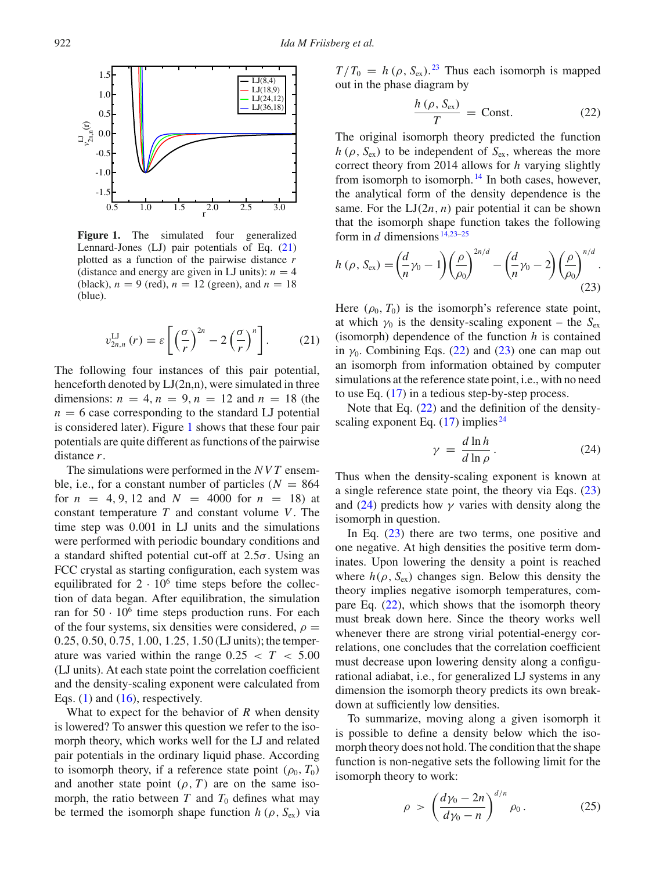

**Figure 1.** The simulated four generalized Lennard-Jones (LJ) pair potentials of Eq. (21) plotted as a function of the pairwise distance *r* (distance and energy are given in LJ units):  $n = 4$ (black),  $n = 9$  (red),  $n = 12$  (green), and  $n = 18$ (blue).

$$
v_{2n,n}^{\text{LJ}}\left(r\right) = \varepsilon \left[ \left(\frac{\sigma}{r}\right)^{2n} - 2\left(\frac{\sigma}{r}\right)^n \right].\tag{21}
$$

The following four instances of this pair potential, henceforth denoted by LJ(2n,n), were simulated in three dimensions:  $n = 4, n = 9, n = 12$  and  $n = 18$  (the  $n = 6$  case corresponding to the standard LJ potential is considered later). Figure 1 shows that these four pair potentials are quite different as functions of the pairwise distance *r*.

The simulations were performed in the *NVT* ensemble, i.e., for a constant number of particles  $(N = 864)$ for  $n = 4, 9, 12$  and  $N = 4000$  for  $n = 18$ ) at constant temperature *T* and constant volume *V*. The time step was 0.001 in LJ units and the simulations were performed with periodic boundary conditions and a standard shifted potential cut-off at  $2.5\sigma$ . Using an FCC crystal as starting configuration, each system was equilibrated for  $2 \cdot 10^6$  time steps before the collection of data began. After equilibration, the simulation ran for  $50 \cdot 10^6$  time steps production runs. For each of the four systems, six densities were considered,  $\rho =$ 0.25, 0.50, 0.75, 1.00, 1.25, 1.50 (LJ units); the temperature was varied within the range  $0.25 < T < 5.00$ (LJ units). At each state point the correlation coefficient and the density-scaling exponent were calculated from Eqs.  $(1)$  and  $(16)$ , respectively.

What to expect for the behavior of *R* when density is lowered? To answer this question we refer to the isomorph theory, which works well for the LJ and related pair potentials in the ordinary liquid phase. According to isomorph theory, if a reference state point  $(\rho_0, T_0)$ and another state point  $(\rho, T)$  are on the same isomorph, the ratio between  $T$  and  $T_0$  defines what may be termed the isomorph shape function  $h(\rho, S_{ex})$  via

 $T/T_0 = h(\rho, S_{\text{ex}})$ .<sup>23</sup> Thus each isomorph is mapped out in the phase diagram by

$$
\frac{h\left(\rho, S_{\text{ex}}\right)}{T} = \text{Const.} \tag{22}
$$

The original isomorph theory predicted the function  $h(\rho, S_{\rm ex})$  to be independent of  $S_{\rm ex}$ , whereas the more correct theory from 2014 allows for *h* varying slightly from isomorph to isomorph.<sup>14</sup> In both cases, however, the analytical form of the density dependence is the same. For the  $LI(2n, n)$  pair potential it can be shown that the isomorph shape function takes the following form in  $d$  dimensions  $14,23-25$ 

$$
h(\rho, S_{\rm ex}) = \left(\frac{d}{n}\gamma_0 - 1\right) \left(\frac{\rho}{\rho_0}\right)^{2n/d} - \left(\frac{d}{n}\gamma_0 - 2\right) \left(\frac{\rho}{\rho_0}\right)^{n/d}.
$$
\n(23)

Here  $(\rho_0, T_0)$  is the isomorph's reference state point, at which  $\gamma_0$  is the density-scaling exponent – the  $S_{\text{ex}}$ (isomorph) dependence of the function *h* is contained in  $\gamma_0$ . Combining Eqs. (22) and (23) one can map out an isomorph from information obtained by computer simulations at the reference state point, i.e., with no need to use Eq.  $(17)$  in a tedious step-by-step process.

Note that Eq. (22) and the definition of the densityscaling exponent Eq.  $(17)$  implies <sup>24</sup>

$$
\gamma = \frac{d \ln h}{d \ln \rho}.
$$
 (24)

Thus when the density-scaling exponent is known at a single reference state point, the theory via Eqs. (23) and (24) predicts how  $\gamma$  varies with density along the isomorph in question.

In Eq. (23) there are two terms, one positive and one negative. At high densities the positive term dominates. Upon lowering the density a point is reached where  $h(\rho, S_{ex})$  changes sign. Below this density the theory implies negative isomorph temperatures, compare Eq. (22), which shows that the isomorph theory must break down here. Since the theory works well whenever there are strong virial potential-energy correlations, one concludes that the correlation coefficient must decrease upon lowering density along a configurational adiabat, i.e., for generalized LJ systems in any dimension the isomorph theory predicts its own breakdown at sufficiently low densities.

To summarize, moving along a given isomorph it is possible to define a density below which the isomorph theory does not hold. The condition that the shape function is non-negative sets the following limit for the isomorph theory to work:

$$
\rho > \left(\frac{d\gamma_0 - 2n}{d\gamma_0 - n}\right)^{d/n} \rho_0.
$$
 (25)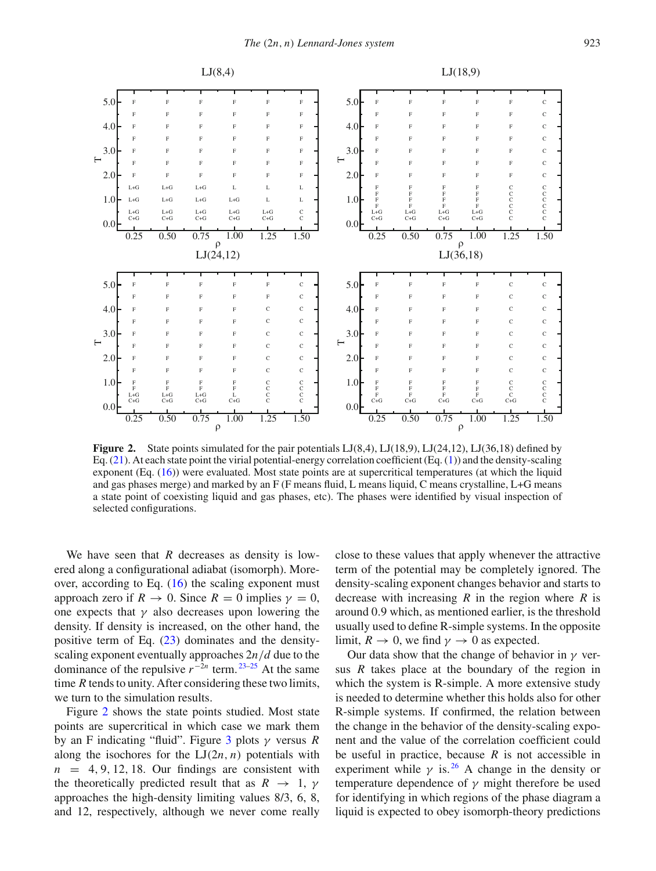

Figure 2. State points simulated for the pair potentials LJ(8,4), LJ(18,9), LJ(24,12), LJ(36,18) defined by Eq. (21). At each state point the virial potential-energy correlation coefficient (Eq. (1)) and the density-scaling exponent (Eq. (16)) were evaluated. Most state points are at supercritical temperatures (at which the liquid and gas phases merge) and marked by an F (F means fluid, L means liquid, C means crystalline, L+G means a state point of coexisting liquid and gas phases, etc). The phases were identified by visual inspection of selected configurations.

We have seen that *R* decreases as density is lowered along a configurational adiabat (isomorph). Moreover, according to Eq.  $(16)$  the scaling exponent must approach zero if  $R \to 0$ . Since  $R = 0$  implies  $\gamma = 0$ , one expects that  $\gamma$  also decreases upon lowering the density. If density is increased, on the other hand, the positive term of Eq. (23) dominates and the densityscaling exponent eventually approaches 2*n*/*d* due to the dominance of the repulsive  $r^{-2n}$  term.<sup>23–25</sup> At the same time *R* tends to unity. After considering these two limits, we turn to the simulation results.

Figure 2 shows the state points studied. Most state points are supercritical in which case we mark them by an F indicating "fluid". Figure 3 plots γ versus *R* along the isochores for the  $LI(2n, n)$  potentials with  $n = 4, 9, 12, 18$ . Our findings are consistent with the theoretically predicted result that as  $R \rightarrow 1$ ,  $\gamma$ approaches the high-density limiting values 8/3, 6, 8, and 12, respectively, although we never come really close to these values that apply whenever the attractive term of the potential may be completely ignored. The density-scaling exponent changes behavior and starts to decrease with increasing *R* in the region where *R* is around 0.9 which, as mentioned earlier, is the threshold usually used to define R-simple systems. In the opposite limit,  $R \to 0$ , we find  $\gamma \to 0$  as expected.

Our data show that the change of behavior in  $\gamma$  versus *R* takes place at the boundary of the region in which the system is R-simple. A more extensive study is needed to determine whether this holds also for other R-simple systems. If confirmed, the relation between the change in the behavior of the density-scaling exponent and the value of the correlation coefficient could be useful in practice, because *R* is not accessible in experiment while  $\gamma$  is.<sup>26</sup> A change in the density or temperature dependence of  $\gamma$  might therefore be used for identifying in which regions of the phase diagram a liquid is expected to obey isomorph-theory predictions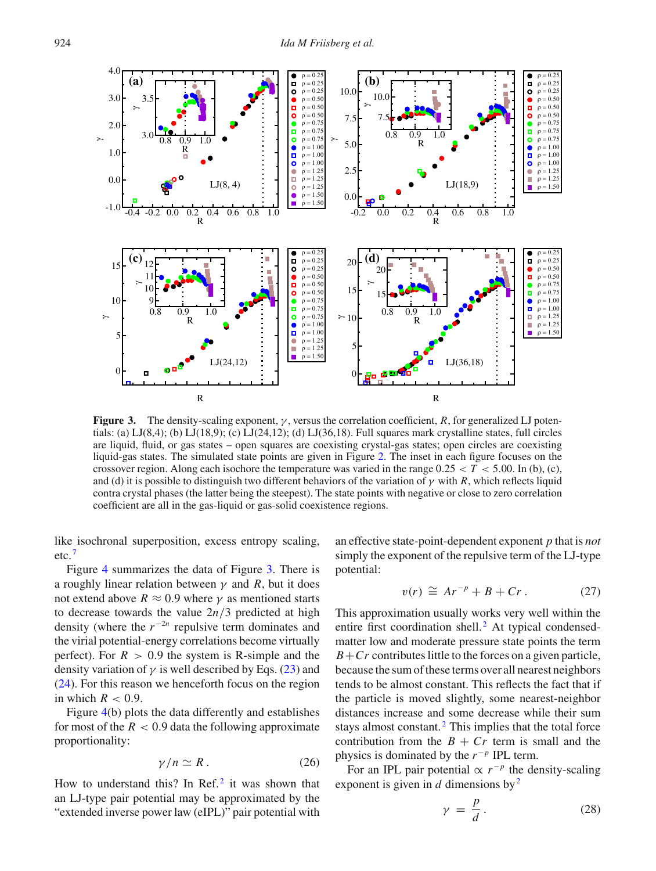

**Figure 3.** The density-scaling exponent,  $\gamma$ , versus the correlation coefficient, *R*, for generalized LJ potentials: (a) LJ(8,4); (b) LJ(18,9); (c) LJ(24,12); (d) LJ(36,18). Full squares mark crystalline states, full circles are liquid, fluid, or gas states – open squares are coexisting crystal-gas states; open circles are coexisting liquid-gas states. The simulated state points are given in Figure 2. The inset in each figure focuses on the crossover region. Along each isochore the temperature was varied in the range  $0.25 < T < 5.00$ . In (b), (c), and (d) it is possible to distinguish two different behaviors of the variation of  $\gamma$  with *R*, which reflects liquid contra crystal phases (the latter being the steepest). The state points with negative or close to zero correlation coefficient are all in the gas-liquid or gas-solid coexistence regions.

like isochronal superposition, excess entropy scaling, etc. <sup>7</sup>

Figure 4 summarizes the data of Figure 3. There is a roughly linear relation between  $\gamma$  and *R*, but it does not extend above  $R \approx 0.9$  where  $\gamma$  as mentioned starts to decrease towards the value  $2n/3$  predicted at high density (where the  $r^{-2n}$  repulsive term dominates and the virial potential-energy correlations become virtually perfect). For  $R > 0.9$  the system is R-simple and the density variation of  $\gamma$  is well described by Eqs. (23) and (24). For this reason we henceforth focus on the region in which  $R < 0.9$ .

Figure 4(b) plots the data differently and establishes for most of the  $R < 0.9$  data the following approximate proportionality:

$$
\gamma/n \simeq R \,. \tag{26}
$$

How to understand this? In Ref. $<sup>2</sup>$  it was shown that</sup> an LJ-type pair potential may be approximated by the "extended inverse power law (eIPL)" pair potential with an effective state-point-dependent exponent *p* that is *not* simply the exponent of the repulsive term of the LJ-type potential:

$$
v(r) \cong Ar^{-p} + B + Cr. \tag{27}
$$

This approximation usually works very well within the entire first coordination shell. $<sup>2</sup>$  At typical condensed-</sup> matter low and moderate pressure state points the term  $B + Cr$  contributes little to the forces on a given particle, because the sum of these terms over all nearest neighbors tends to be almost constant. This reflects the fact that if the particle is moved slightly, some nearest-neighbor distances increase and some decrease while their sum stays almost constant.<sup>2</sup> This implies that the total force contribution from the  $B + Cr$  term is small and the physics is dominated by the *r* <sup>−</sup>*<sup>p</sup>* IPL term.

For an IPL pair potential  $\propto r^{-p}$  the density-scaling exponent is given in  $d$  dimensions by  $2^2$ 

$$
\gamma = \frac{p}{d}.
$$
 (28)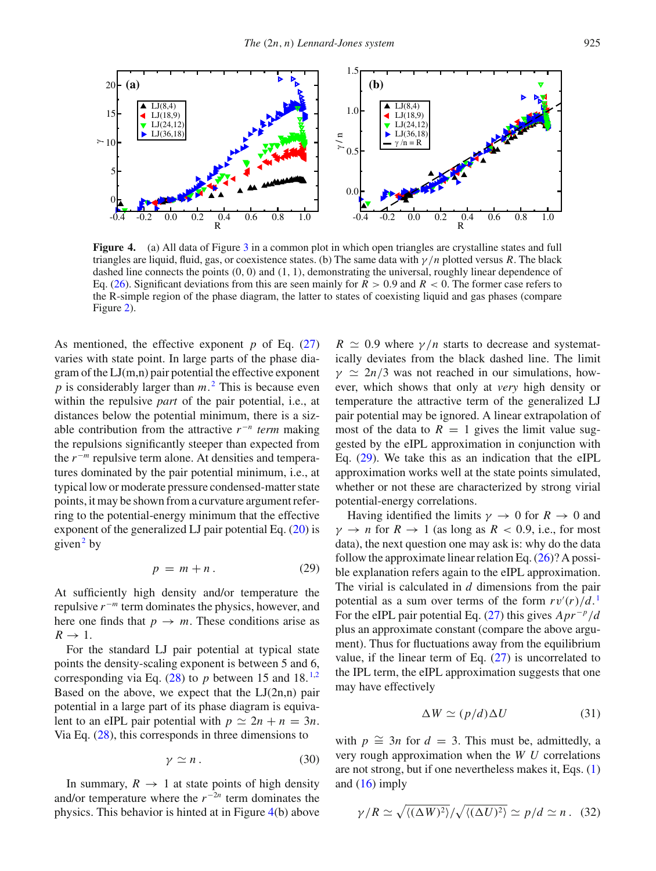

**Figure 4.** (a) All data of Figure 3 in a common plot in which open triangles are crystalline states and full triangles are liquid, fluid, gas, or coexistence states. (b) The same data with γ /*n* plotted versus *R*. The black dashed line connects the points  $(0, 0)$  and  $(1, 1)$ , demonstrating the universal, roughly linear dependence of Eq. (26). Significant deviations from this are seen mainly for  $R > 0.9$  and  $R < 0$ . The former case refers to the R-simple region of the phase diagram, the latter to states of coexisting liquid and gas phases (compare Figure 2).

As mentioned, the effective exponent *p* of Eq. (27) varies with state point. In large parts of the phase diagram of the LJ(m,n) pair potential the effective exponent *p* is considerably larger than *m*. <sup>2</sup> This is because even within the repulsive *part* of the pair potential, i.e., at distances below the potential minimum, there is a sizable contribution from the attractive  $r^{-n}$  *term* making the repulsions significantly steeper than expected from the *r*<sup>−*m*</sup> repulsive term alone. At densities and temperatures dominated by the pair potential minimum, i.e., at typical low or moderate pressure condensed-matter state points, it may be shown from a curvature argument referring to the potential-energy minimum that the effective exponent of the generalized LJ pair potential Eq. (20) is given<sup>2</sup> by

$$
p = m + n. \tag{29}
$$

At sufficiently high density and/or temperature the repulsive *r* <sup>−</sup>*<sup>m</sup>* term dominates the physics, however, and here one finds that  $p \to m$ . These conditions arise as  $R \rightarrow 1$ .

For the standard LJ pair potential at typical state points the density-scaling exponent is between 5 and 6, corresponding via Eq.  $(28)$  to *p* between 15 and 18.<sup>1,2</sup> Based on the above, we expect that the  $LJ(2n,n)$  pair potential in a large part of its phase diagram is equivalent to an eIPL pair potential with  $p \simeq 2n + n = 3n$ . Via Eq. (28), this corresponds in three dimensions to

$$
\gamma \simeq n \,. \tag{30}
$$

In summary,  $R \rightarrow 1$  at state points of high density and/or temperature where the  $r^{-2n}$  term dominates the physics. This behavior is hinted at in Figure 4(b) above

 $R \simeq 0.9$  where  $\gamma/n$  starts to decrease and systematically deviates from the black dashed line. The limit  $\gamma \simeq 2n/3$  was not reached in our simulations, however, which shows that only at *very* high density or temperature the attractive term of the generalized LJ pair potential may be ignored. A linear extrapolation of most of the data to  $R = 1$  gives the limit value suggested by the eIPL approximation in conjunction with Eq. (29). We take this as an indication that the eIPL approximation works well at the state points simulated, whether or not these are characterized by strong virial potential-energy correlations.

Having identified the limits  $\gamma \to 0$  for  $R \to 0$  and  $\gamma \rightarrow n$  for  $R \rightarrow 1$  (as long as  $R < 0.9$ , i.e., for most data), the next question one may ask is: why do the data follow the approximate linear relation Eq. (26)? A possible explanation refers again to the eIPL approximation. The virial is calculated in *d* dimensions from the pair potential as a sum over terms of the form  $rv'(r)/d$ . For the eIPL pair potential Eq. (27) this gives  $A pr^{-p}/d$ plus an approximate constant (compare the above argument). Thus for fluctuations away from the equilibrium value, if the linear term of Eq. (27) is uncorrelated to the IPL term, the eIPL approximation suggests that one may have effectively

$$
\Delta W \simeq (p/d)\Delta U \tag{31}
$$

with  $p \approx 3n$  for  $d = 3$ . This must be, admittedly, a very rough approximation when the *W U* correlations are not strong, but if one nevertheless makes it, Eqs. (1) and  $(16)$  imply

$$
\gamma/R \simeq \sqrt{\langle (\Delta W)^2 \rangle}/\sqrt{\langle (\Delta U)^2 \rangle} \simeq p/d \simeq n \,. \tag{32}
$$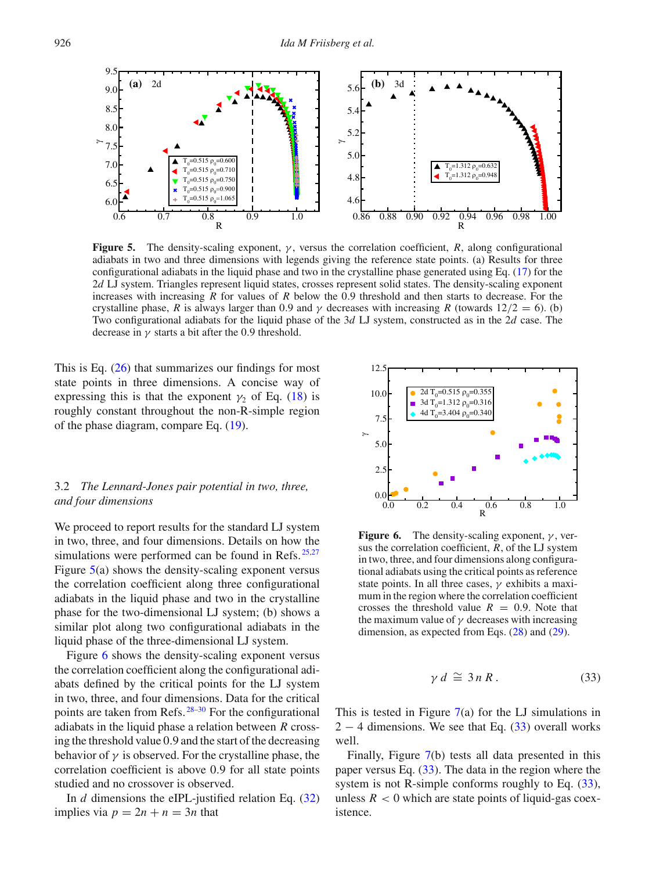

**Figure 5.** The density-scaling exponent,  $\gamma$ , versus the correlation coefficient, *R*, along configurational adiabats in two and three dimensions with legends giving the reference state points. (a) Results for three configurational adiabats in the liquid phase and two in the crystalline phase generated using Eq. (17) for the 2*d* LJ system. Triangles represent liquid states, crosses represent solid states. The density-scaling exponent increases with increasing *R* for values of *R* below the 0.9 threshold and then starts to decrease. For the crystalline phase, *R* is always larger than 0.9 and  $\gamma$  decreases with increasing *R* (towards 12/2 = 6). (b) Two configurational adiabats for the liquid phase of the 3*d* LJ system, constructed as in the 2*d* case. The decrease in  $\gamma$  starts a bit after the 0.9 threshold.

This is Eq. (26) that summarizes our findings for most state points in three dimensions. A concise way of expressing this is that the exponent  $\gamma_2$  of Eq. (18) is roughly constant throughout the non-R-simple region of the phase diagram, compare Eq. (19).

# 3.2 *The Lennard-Jones pair potential in two, three, and four dimensions*

We proceed to report results for the standard LJ system in two, three, and four dimensions. Details on how the simulations were performed can be found in Refs.  $25,27$ Figure 5(a) shows the density-scaling exponent versus the correlation coefficient along three configurational adiabats in the liquid phase and two in the crystalline phase for the two-dimensional LJ system; (b) shows a similar plot along two configurational adiabats in the liquid phase of the three-dimensional LJ system.

Figure 6 shows the density-scaling exponent versus the correlation coefficient along the configurational adiabats defined by the critical points for the LJ system in two, three, and four dimensions. Data for the critical points are taken from Refs. 28–30 For the configurational adiabats in the liquid phase a relation between *R* crossing the threshold value 0.9 and the start of the decreasing behavior of  $\gamma$  is observed. For the crystalline phase, the correlation coefficient is above 0.9 for all state points studied and no crossover is observed.

In *d* dimensions the eIPL-justified relation Eq. (32) implies via  $p = 2n + n = 3n$  that



**Figure 6.** The density-scaling exponent,  $\gamma$ , versus the correlation coefficient, *R*, of the LJ system in two, three, and four dimensions along configurational adiabats using the critical points as reference state points. In all three cases,  $\gamma$  exhibits a maximum in the region where the correlation coefficient crosses the threshold value  $R = 0.9$ . Note that the maximum value of  $\gamma$  decreases with increasing dimension, as expected from Eqs. (28) and (29).

$$
\gamma \, d \cong 3 \, n \, R \,. \tag{33}
$$

This is tested in Figure  $7(a)$  for the LJ simulations in  $2 - 4$  dimensions. We see that Eq. (33) overall works well.

Finally, Figure 7(b) tests all data presented in this paper versus Eq. (33). The data in the region where the system is not R-simple conforms roughly to Eq.  $(33)$ , unless  $R < 0$  which are state points of liquid-gas coexistence.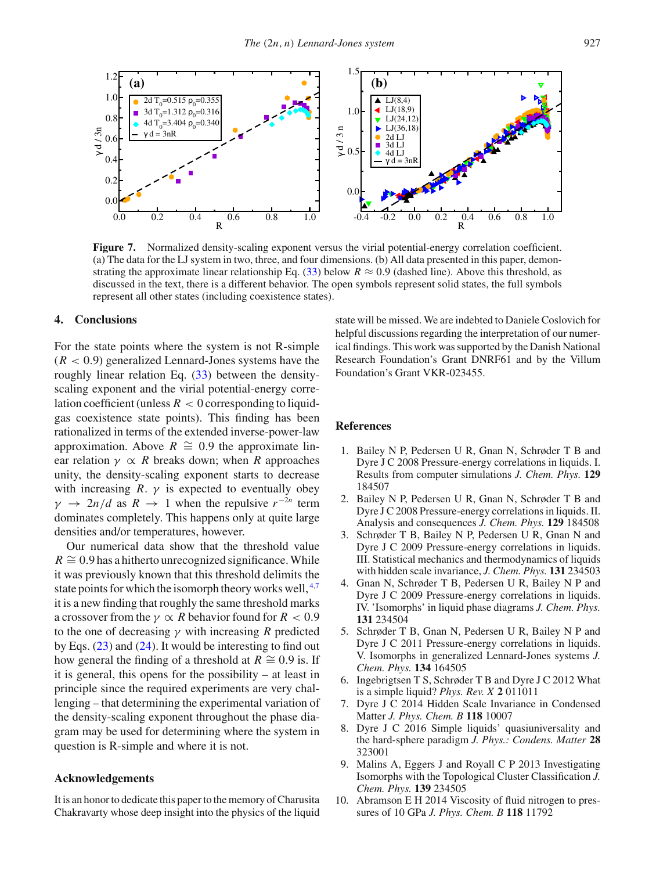

**Figure 7.** Normalized density-scaling exponent versus the virial potential-energy correlation coefficient. (a) The data for the LJ system in two, three, and four dimensions. (b) All data presented in this paper, demonstrating the approximate linear relationship Eq. (33) below  $R \approx 0.9$  (dashed line). Above this threshold, as discussed in the text, there is a different behavior. The open symbols represent solid states, the full symbols represent all other states (including coexistence states).

## **4. Conclusions**

For the state points where the system is not R-simple  $(R < 0.9)$  generalized Lennard-Jones systems have the roughly linear relation Eq. (33) between the densityscaling exponent and the virial potential-energy correlation coefficient (unless  $R < 0$  corresponding to liquidgas coexistence state points). This finding has been rationalized in terms of the extended inverse-power-law approximation. Above  $R \cong 0.9$  the approximate linear relation  $\gamma \propto R$  breaks down; when *R* approaches unity, the density-scaling exponent starts to decrease with increasing  $R. \gamma$  is expected to eventually obey  $\gamma \rightarrow 2n/d$  as  $R \rightarrow 1$  when the repulsive  $r^{-2n}$  term dominates completely. This happens only at quite large densities and/or temperatures, however.

Our numerical data show that the threshold value  $R \approx 0.9$  has a hitherto unrecognized significance. While it was previously known that this threshold delimits the state points for which the isomorph theory works well,  $4.7$ it is a new finding that roughly the same threshold marks a crossover from the  $\gamma \propto R$  behavior found for  $R < 0.9$ to the one of decreasing  $\gamma$  with increasing *R* predicted by Eqs. (23) and (24). It would be interesting to find out how general the finding of a threshold at *R*  $\cong$  0.9 is. If it is general, this opens for the possibility – at least in principle since the required experiments are very challenging – that determining the experimental variation of the density-scaling exponent throughout the phase diagram may be used for determining where the system in question is R-simple and where it is not.

## **Acknowledgements**

It is an honor to dedicate this paper to the memory of Charusita Chakravarty whose deep insight into the physics of the liquid state will be missed. We are indebted to Daniele Coslovich for helpful discussions regarding the interpretation of our numerical findings. This work was supported by the Danish National Research Foundation's Grant DNRF61 and by the Villum Foundation's Grant VKR-023455.

## **References**

- 1. Bailey N P, Pedersen U R, Gnan N, Schrøder T B and Dyre J C 2008 Pressure-energy correlations in liquids. I. Results from computer simulations *J. Chem. Phys.* **129** 184507
- 2. Bailey N P, Pedersen U R, Gnan N, Schrøder T B and Dyre J C 2008 Pressure-energy correlations in liquids. II. Analysis and consequences *J. Chem. Phys.* **129** 184508
- 3. Schrøder T B, Bailey N P, Pedersen U R, Gnan N and Dyre J C 2009 Pressure-energy correlations in liquids. III. Statistical mechanics and thermodynamics of liquids with hidden scale invariance, *J. Chem. Phys.* **131** 234503
- 4. Gnan N, Schrøder T B, Pedersen U R, Bailey N P and Dyre J C 2009 Pressure-energy correlations in liquids. IV. 'Isomorphs' in liquid phase diagrams *J. Chem. Phys.* **131** 234504
- 5. Schrøder T B, Gnan N, Pedersen U R, Bailey N P and Dyre J C 2011 Pressure-energy correlations in liquids. V. Isomorphs in generalized Lennard-Jones systems *J. Chem. Phys.* **134** 164505
- 6. Ingebrigtsen T S, Schrøder T B and Dyre J C 2012 What is a simple liquid? *Phys. Rev. X* **2** 011011
- 7. Dyre J C 2014 Hidden Scale Invariance in Condensed Matter *J. Phys. Chem. B* **118** 10007
- 8. Dyre J C 2016 Simple liquids' quasiuniversality and the hard-sphere paradigm *J. Phys.: Condens. Matter* **28** 323001
- 9. Malins A, Eggers J and Royall C P 2013 Investigating Isomorphs with the Topological Cluster Classification *J. Chem. Phys.* **139** 234505
- 10. Abramson E H 2014 Viscosity of fluid nitrogen to pressures of 10 GPa *J. Phys. Chem. B* **118** 11792